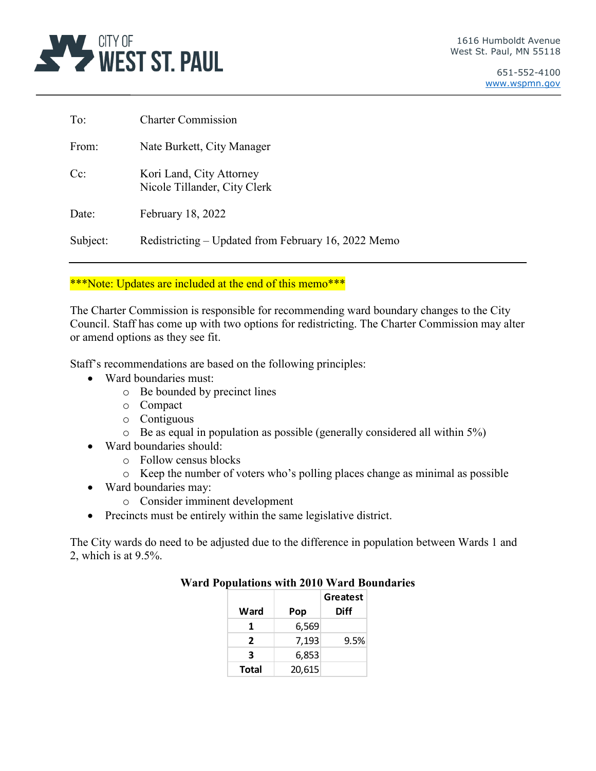

| To:                | <b>Charter Commission</b>                                |
|--------------------|----------------------------------------------------------|
| From:              | Nate Burkett, City Manager                               |
| $C_{\mathbb{C}}$ : | Kori Land, City Attorney<br>Nicole Tillander, City Clerk |
| Date:              | February 18, 2022                                        |
| Subject:           | Redistricting – Updated from February 16, 2022 Memo      |

# \*\*\*Note: Updates are included at the end of this memo\*\*\*

The Charter Commission is responsible for recommending ward boundary changes to the City Council. Staff has come up with two options for redistricting. The Charter Commission may alter or amend options as they see fit.

Staff's recommendations are based on the following principles:

- Ward boundaries must:
	- o Be bounded by precinct lines
	- o Compact
	- o Contiguous
	- o Be as equal in population as possible (generally considered all within 5%)
- Ward boundaries should:
	- o Follow census blocks
	- o Keep the number of voters who's polling places change as minimal as possible
- Ward boundaries may:
	- o Consider imminent development
- Precincts must be entirely within the same legislative district.

The City wards do need to be adjusted due to the difference in population between Wards 1 and 2, which is at 9.5%.

|              |        | Greatest |
|--------------|--------|----------|
| Ward         | Pop    | Diff     |
| 1            | 6,569  |          |
| 2            | 7,193  | 9.5%     |
| 3            | 6,853  |          |
| <b>Total</b> | 20,615 |          |

## **Ward Populations with 2010 Ward Boundaries**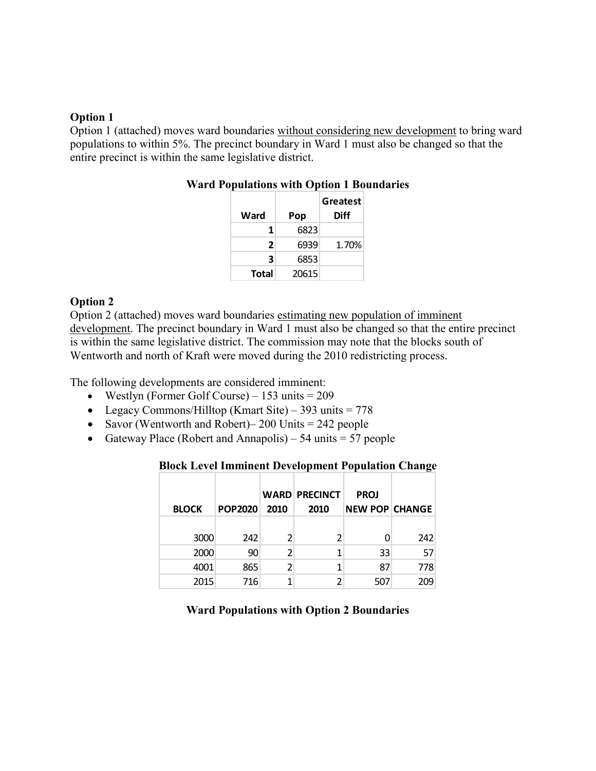## **Option 1**

Option 1 (attached) moves ward boundaries without considering new development to bring ward populations to within 5%. The precinct boundary in Ward 1 must also be changed so that the entire precinct is within the same legislative district.

| Ward         | Pop   | Greatest<br><b>Diff</b> |
|--------------|-------|-------------------------|
| 1            | 6823  |                         |
| 2            | 6939  | 1.70%                   |
| 3            | 6853  |                         |
| <b>Total</b> | 20615 |                         |

## **Ward Populations with Option 1 Boundaries**

#### **Option 2**

Option 2 (attached) moves ward boundaries estimating new population of imminent development. The precinct boundary in Ward 1 must also be changed so that the entire precinct is within the same legislative district. The commission may note that the blocks south of Wentworth and north of Kraft were moved during the 2010 redistricting process.

The following developments are considered imminent:

- Westlyn (Former Golf Course)  $153$  units =  $209$
- Legacy Commons/Hilltop (Kmart Site) 393 units =  $778$
- Savor (Wentworth and Robert) 200 Units  $= 242$  people
- Gateway Place (Robert and Annapolis) 54 units  $=$  57 people

#### **Block Level Imminent Development Population Change**

| <b>BLOCK</b> | <b>POP2020</b> | 2010 | <b>WARD PRECINCT</b><br>2010 | <b>PROJ</b><br><b>NEW POP CHANGE</b> |     |
|--------------|----------------|------|------------------------------|--------------------------------------|-----|
| 3000         | 242            |      | 2                            |                                      | 242 |
| 2000         | 90             |      | 1                            | 33                                   | 57  |
| 4001         | 865            |      |                              | 87                                   | 778 |
| 2015         | 716            |      |                              | 507                                  | 209 |

#### **Ward Populations with Option 2 Boundaries**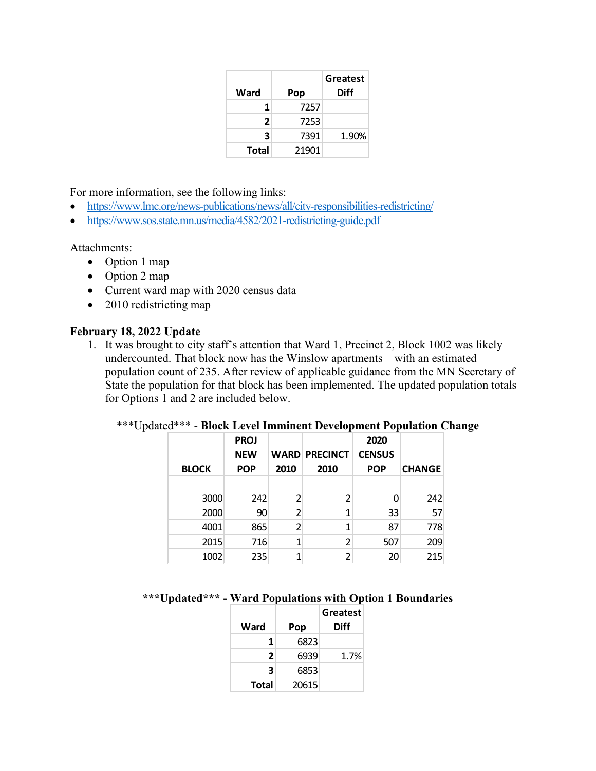|       |       | Greatest |
|-------|-------|----------|
| Ward  | Pop   | Diff     |
| 1     | 7257  |          |
| 2     | 7253  |          |
| 3     | 7391  | 1.90%    |
| Total | 21901 |          |

For more information, see the following links:

- <https://www.lmc.org/news-publications/news/all/city-responsibilities-redistricting/>
- <https://www.sos.state.mn.us/media/4582/2021-redistricting-guide.pdf>

Attachments:

- Option 1 map
- Option 2 map
- Current ward map with 2020 census data
- 2010 redistricting map

## **February 18, 2022 Update**

1. It was brought to city staff's attention that Ward 1, Precinct 2, Block 1002 was likely undercounted. That block now has the Winslow apartments – with an estimated population count of 235. After review of applicable guidance from the MN Secretary of State the population for that block has been implemented. The updated population totals for Options 1 and 2 are included below.

| <b>BLOCK</b> | <b>PROJ</b><br><b>NEW</b><br><b>POP</b> | 2010 | <b>WARD PRECINCT</b><br>2010 | 2020<br><b>CENSUS</b><br><b>POP</b> | <b>CHANGE</b> |
|--------------|-----------------------------------------|------|------------------------------|-------------------------------------|---------------|
| 3000         | 242                                     | 2    | 2                            |                                     | 242           |
| 2000         | 90                                      | 2    | 1                            | 33                                  | 57            |
| 4001         | 865                                     | 2    | 1                            | 87                                  | 778           |
| 2015         | 716                                     | 1    | $\mathcal{P}$                | 507                                 | 209           |
| 1002         | 235                                     |      | າ                            | 20                                  | 215           |

# \*\*\*Updated\*\*\* - **Block Level Imminent Development Population Change**

## **\*\*\*Updated\*\*\* - Ward Populations with Option 1 Boundaries**

|       |       | Greatest |
|-------|-------|----------|
| Ward  | Pop   | Diff     |
| 1     | 6823  |          |
| 2     | 6939  | 1.7%     |
| 3     | 6853  |          |
| Total | 20615 |          |